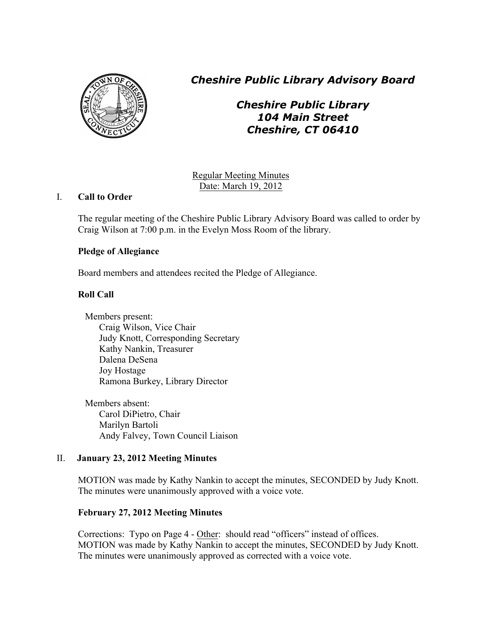

*Cheshire Public Library Advisory Board*

*Cheshire Public Library 104 Main Street Cheshire, CT 06410*

Regular Meeting Minutes Date: March 19, 2012

# I. **Call to Order**

The regular meeting of the Cheshire Public Library Advisory Board was called to order by Craig Wilson at 7:00 p.m. in the Evelyn Moss Room of the library.

# **Pledge of Allegiance**

Board members and attendees recited the Pledge of Allegiance.

# **Roll Call**

Members present: Craig Wilson, Vice Chair Judy Knott, Corresponding Secretary Kathy Nankin, Treasurer Dalena DeSena Joy Hostage Ramona Burkey, Library Director

Members absent: Carol DiPietro, Chair Marilyn Bartoli Andy Falvey, Town Council Liaison

# II. **January 23, 2012 Meeting Minutes**

MOTION was made by Kathy Nankin to accept the minutes, SECONDED by Judy Knott. The minutes were unanimously approved with a voice vote.

# **February 27, 2012 Meeting Minutes**

Corrections: Typo on Page 4 - Other: should read "officers" instead of offices. MOTION was made by Kathy Nankin to accept the minutes, SECONDED by Judy Knott. The minutes were unanimously approved as corrected with a voice vote.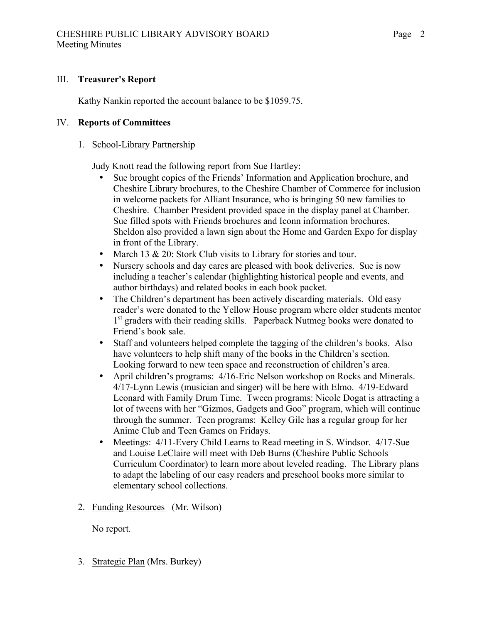## III. **Treasurer's Report**

Kathy Nankin reported the account balance to be \$1059.75.

## IV. **Reports of Committees**

## 1. School-Library Partnership

Judy Knott read the following report from Sue Hartley:

- Sue brought copies of the Friends' Information and Application brochure, and Cheshire Library brochures, to the Cheshire Chamber of Commerce for inclusion in welcome packets for Alliant Insurance, who is bringing 50 new families to Cheshire. Chamber President provided space in the display panel at Chamber. Sue filled spots with Friends brochures and Iconn information brochures. Sheldon also provided a lawn sign about the Home and Garden Expo for display in front of the Library.
- March 13 & 20: Stork Club visits to Library for stories and tour.
- Nursery schools and day cares are pleased with book deliveries. Sue is now including a teacher's calendar (highlighting historical people and events, and author birthdays) and related books in each book packet.
- The Children's department has been actively discarding materials. Old easy reader's were donated to the Yellow House program where older students mentor 1<sup>st</sup> graders with their reading skills. Paperback Nutmeg books were donated to Friend's book sale.
- Staff and volunteers helped complete the tagging of the children's books. Also have volunteers to help shift many of the books in the Children's section. Looking forward to new teen space and reconstruction of children's area.
- April children's programs: 4/16-Eric Nelson workshop on Rocks and Minerals. 4/17-Lynn Lewis (musician and singer) will be here with Elmo. 4/19-Edward Leonard with Family Drum Time. Tween programs: Nicole Dogat is attracting a lot of tweens with her "Gizmos, Gadgets and Goo" program, which will continue through the summer. Teen programs: Kelley Gile has a regular group for her Anime Club and Teen Games on Fridays.
- Meetings: 4/11-Every Child Learns to Read meeting in S. Windsor. 4/17-Sue and Louise LeClaire will meet with Deb Burns (Cheshire Public Schools Curriculum Coordinator) to learn more about leveled reading. The Library plans to adapt the labeling of our easy readers and preschool books more similar to elementary school collections.
- 2. Funding Resources (Mr. Wilson)

No report.

3. Strategic Plan (Mrs. Burkey)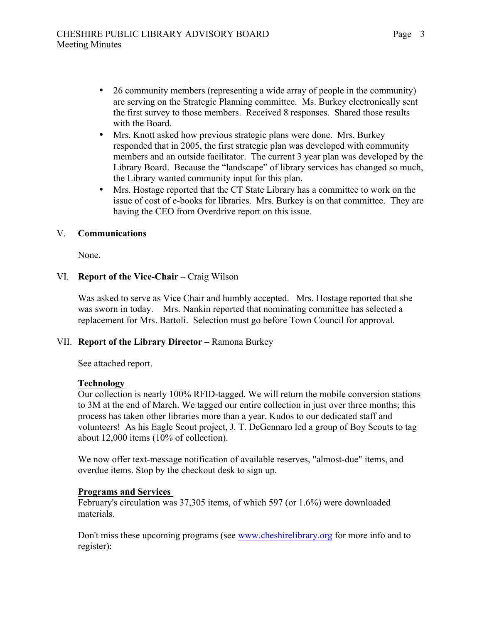- 26 community members (representing a wide array of people in the community) are serving on the Strategic Planning committee. Ms. Burkey electronically sent the first survey to those members. Received 8 responses. Shared those results with the Board.
- Mrs. Knott asked how previous strategic plans were done. Mrs. Burkey responded that in 2005, the first strategic plan was developed with community members and an outside facilitator. The current 3 year plan was developed by the Library Board. Because the "landscape" of library services has changed so much, the Library wanted community input for this plan.
- Mrs. Hostage reported that the CT State Library has a committee to work on the issue of cost of e-books for libraries. Mrs. Burkey is on that committee. They are having the CEO from Overdrive report on this issue.

## V. **Communications**

None.

## VI. **Report of the Vice-Chair –** Craig Wilson

Was asked to serve as Vice Chair and humbly accepted. Mrs. Hostage reported that she was sworn in today. Mrs. Nankin reported that nominating committee has selected a replacement for Mrs. Bartoli. Selection must go before Town Council for approval.

#### VII. **Report of the Library Director –** Ramona Burkey

See attached report.

#### **Technology**

Our collection is nearly 100% RFID-tagged. We will return the mobile conversion stations to 3M at the end of March. We tagged our entire collection in just over three months; this process has taken other libraries more than a year. Kudos to our dedicated staff and volunteers! As his Eagle Scout project, J. T. DeGennaro led a group of Boy Scouts to tag about 12,000 items (10% of collection).

We now offer text-message notification of available reserves, "almost-due" items, and overdue items. Stop by the checkout desk to sign up.

#### **Programs and Services**

February's circulation was 37,305 items, of which 597 (or 1.6%) were downloaded materials.

Don't miss these upcoming programs (see www.cheshirelibrary.org for more info and to register):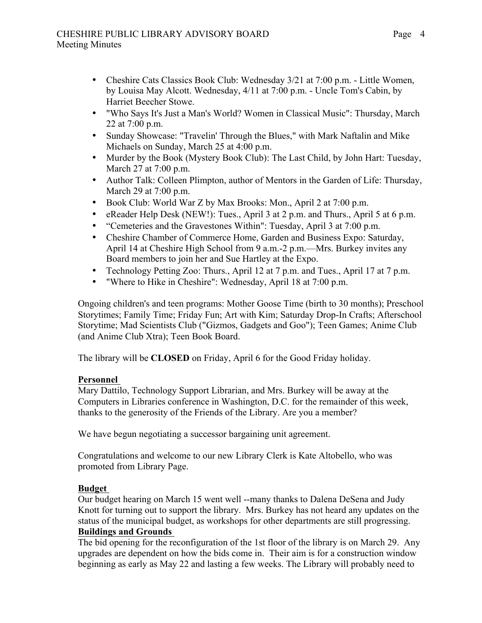- Cheshire Cats Classics Book Club: Wednesday 3/21 at 7:00 p.m. Little Women, by Louisa May Alcott. Wednesday, 4/11 at 7:00 p.m. - Uncle Tom's Cabin, by Harriet Beecher Stowe.
- "Who Says It's Just a Man's World? Women in Classical Music": Thursday, March 22 at 7:00 p.m.
- Sunday Showcase: "Travelin' Through the Blues," with Mark Naftalin and Mike Michaels on Sunday, March 25 at 4:00 p.m.
- Murder by the Book (Mystery Book Club): The Last Child, by John Hart: Tuesday, March 27 at 7:00 p.m.
- Author Talk: Colleen Plimpton, author of Mentors in the Garden of Life: Thursday, March 29 at 7:00 p.m.
- Book Club: World War Z by Max Brooks: Mon., April 2 at 7:00 p.m.
- eReader Help Desk (NEW!): Tues., April 3 at 2 p.m. and Thurs., April 5 at 6 p.m.
- "Cemeteries and the Gravestones Within": Tuesday, April 3 at 7:00 p.m.
- Cheshire Chamber of Commerce Home, Garden and Business Expo: Saturday, April 14 at Cheshire High School from 9 a.m.-2 p.m.—Mrs. Burkey invites any Board members to join her and Sue Hartley at the Expo.
- Technology Petting Zoo: Thurs., April 12 at 7 p.m. and Tues., April 17 at 7 p.m.
- "Where to Hike in Cheshire": Wednesday, April 18 at 7:00 p.m.

Ongoing children's and teen programs: Mother Goose Time (birth to 30 months); Preschool Storytimes; Family Time; Friday Fun; Art with Kim; Saturday Drop-In Crafts; Afterschool Storytime; Mad Scientists Club ("Gizmos, Gadgets and Goo"); Teen Games; Anime Club (and Anime Club Xtra); Teen Book Board.

The library will be **CLOSED** on Friday, April 6 for the Good Friday holiday.

#### **Personnel**

Mary Dattilo, Technology Support Librarian, and Mrs. Burkey will be away at the Computers in Libraries conference in Washington, D.C. for the remainder of this week, thanks to the generosity of the Friends of the Library. Are you a member?

We have begun negotiating a successor bargaining unit agreement.

Congratulations and welcome to our new Library Clerk is Kate Altobello, who was promoted from Library Page.

# **Budget**

Our budget hearing on March 15 went well --many thanks to Dalena DeSena and Judy Knott for turning out to support the library. Mrs. Burkey has not heard any updates on the status of the municipal budget, as workshops for other departments are still progressing.

# **Buildings and Grounds**

The bid opening for the reconfiguration of the 1st floor of the library is on March 29. Any upgrades are dependent on how the bids come in. Their aim is for a construction window beginning as early as May 22 and lasting a few weeks. The Library will probably need to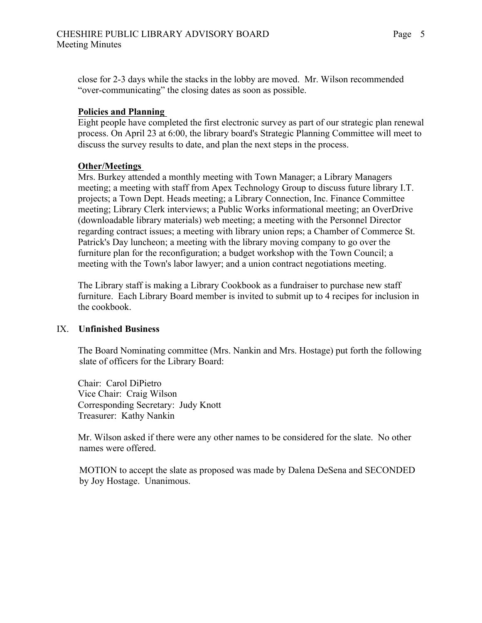close for 2-3 days while the stacks in the lobby are moved. Mr. Wilson recommended "over-communicating" the closing dates as soon as possible.

#### **Policies and Planning**

Eight people have completed the first electronic survey as part of our strategic plan renewal process. On April 23 at 6:00, the library board's Strategic Planning Committee will meet to discuss the survey results to date, and plan the next steps in the process.

#### **Other/Meetings**

Mrs. Burkey attended a monthly meeting with Town Manager; a Library Managers meeting; a meeting with staff from Apex Technology Group to discuss future library I.T. projects; a Town Dept. Heads meeting; a Library Connection, Inc. Finance Committee meeting; Library Clerk interviews; a Public Works informational meeting; an OverDrive (downloadable library materials) web meeting; a meeting with the Personnel Director regarding contract issues; a meeting with library union reps; a Chamber of Commerce St. Patrick's Day luncheon; a meeting with the library moving company to go over the furniture plan for the reconfiguration; a budget workshop with the Town Council; a meeting with the Town's labor lawyer; and a union contract negotiations meeting.

The Library staff is making a Library Cookbook as a fundraiser to purchase new staff furniture. Each Library Board member is invited to submit up to 4 recipes for inclusion in the cookbook.

#### IX. **Unfinished Business**

The Board Nominating committee (Mrs. Nankin and Mrs. Hostage) put forth the following slate of officers for the Library Board:

Chair: Carol DiPietro Vice Chair: Craig Wilson Corresponding Secretary: Judy Knott Treasurer: Kathy Nankin

Mr. Wilson asked if there were any other names to be considered for the slate. No other names were offered.

 MOTION to accept the slate as proposed was made by Dalena DeSena and SECONDED by Joy Hostage. Unanimous.